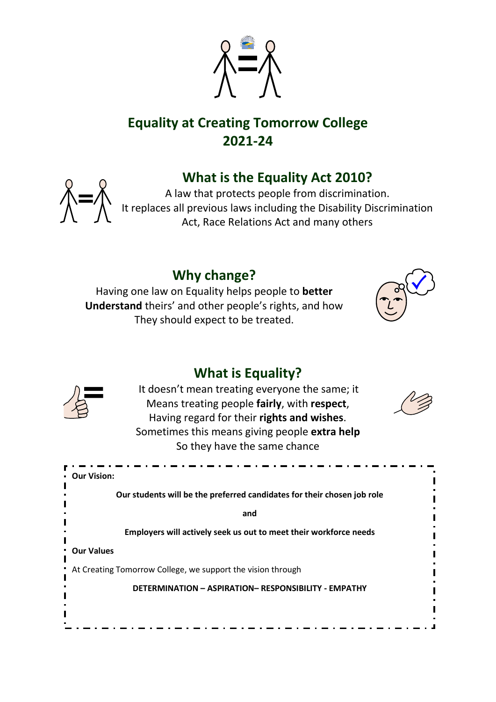

# **Equality at Creating Tomorrow College 2021-24**

# **What is the Equality Act 2010?**



A law that protects people from discrimination. It replaces all previous laws including the Disability Discrimination Act, Race Relations Act and many others

### **Why change?**

Having one law on Equality helps people to **better Understand** theirs' and other people's rights, and how They should expect to be treated.



### **What is Equality?**



It doesn't mean treating everyone the same; it Means treating people **fairly**, with **respect**, Having regard for their **rights and wishes**. Sometimes this means giving people **extra help** So they have the same chance



| • Our Vision:                                                           |
|-------------------------------------------------------------------------|
| Our students will be the preferred candidates for their chosen job role |
| and                                                                     |
| Employers will actively seek us out to meet their workforce needs       |
| <b>Our Values</b>                                                       |
| At Creating Tomorrow College, we support the vision through             |
| <b>DETERMINATION - ASPIRATION- RESPONSIBILITY - EMPATHY</b>             |
|                                                                         |
|                                                                         |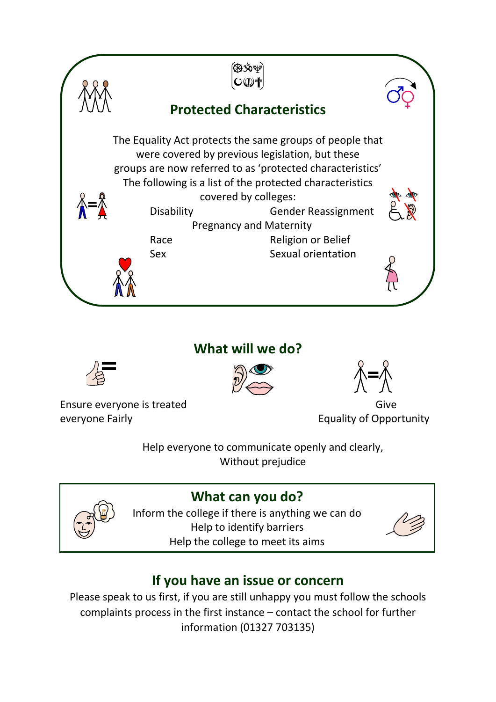

### **What will we do?**







Ensure everyone is treated Give everyone Fairly **Equality of Opportunity** 

Help everyone to communicate openly and clearly, Without prejudice



**What can you do?**

Inform the college if there is anything we can do Help to identify barriers Help the college to meet its aims

| Î |  |
|---|--|
|   |  |

# **If you have an issue or concern**

Please speak to us first, if you are still unhappy you must follow the schools complaints process in the first instance – contact the school for further information (01327 703135)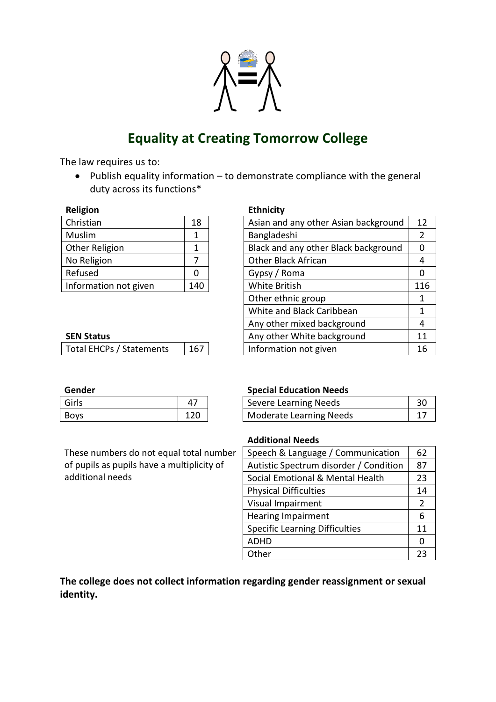

## **Equality at Creating Tomorrow College**

The law requires us to:

• Publish equality information – to demonstrate compliance with the general duty across its functions\*

| Religion              |     |
|-----------------------|-----|
| Christian             | 18  |
| Muslim                | 1   |
| Other Religion        | 1   |
| No Religion           |     |
| Refused               | ი   |
| Information not given | 140 |

#### **SEN Status**

| Girls       |     |
|-------------|-----|
| <b>Boys</b> | 120 |

These numbers do not equal total number of pupils as pupils have a multiplicity of additional needs

#### **Ethnicity**

| Christian                | 18  | Asian and any other Asian background | 12  |
|--------------------------|-----|--------------------------------------|-----|
| Muslim                   | 1   | Bangladeshi                          | 2   |
| Other Religion           | 1   | Black and any other Black background | 0   |
| No Religion              | 7   | <b>Other Black African</b>           | 4   |
| Refused                  | 0   | Gypsy / Roma                         | 0   |
| Information not given    | 140 | White British                        | 116 |
|                          |     | Other ethnic group                   | 1   |
|                          |     | White and Black Caribbean            | 1   |
|                          |     | Any other mixed background           | 4   |
| <b>SEN Status</b>        |     | Any other White background           | 11  |
| Total EHCPs / Statements | 167 | Information not given                | 16  |
|                          |     |                                      |     |

#### **Gender Special Education Needs**

| Girls       |     | Severe Learning Needs          |  |
|-------------|-----|--------------------------------|--|
| <b>Boys</b> | 120 | <b>Moderate Learning Needs</b> |  |

#### **Additional Needs**

| Speech & Language / Communication      |               |
|----------------------------------------|---------------|
| Autistic Spectrum disorder / Condition | 87            |
| Social Emotional & Mental Health       | 23            |
| <b>Physical Difficulties</b>           | 14            |
| Visual Impairment                      | $\mathcal{P}$ |
| <b>Hearing Impairment</b>              | 6             |
| <b>Specific Learning Difficulties</b>  | 11            |
| <b>ADHD</b>                            | O             |
| Other                                  | 23            |

**The college does not collect information regarding gender reassignment or sexual identity.**